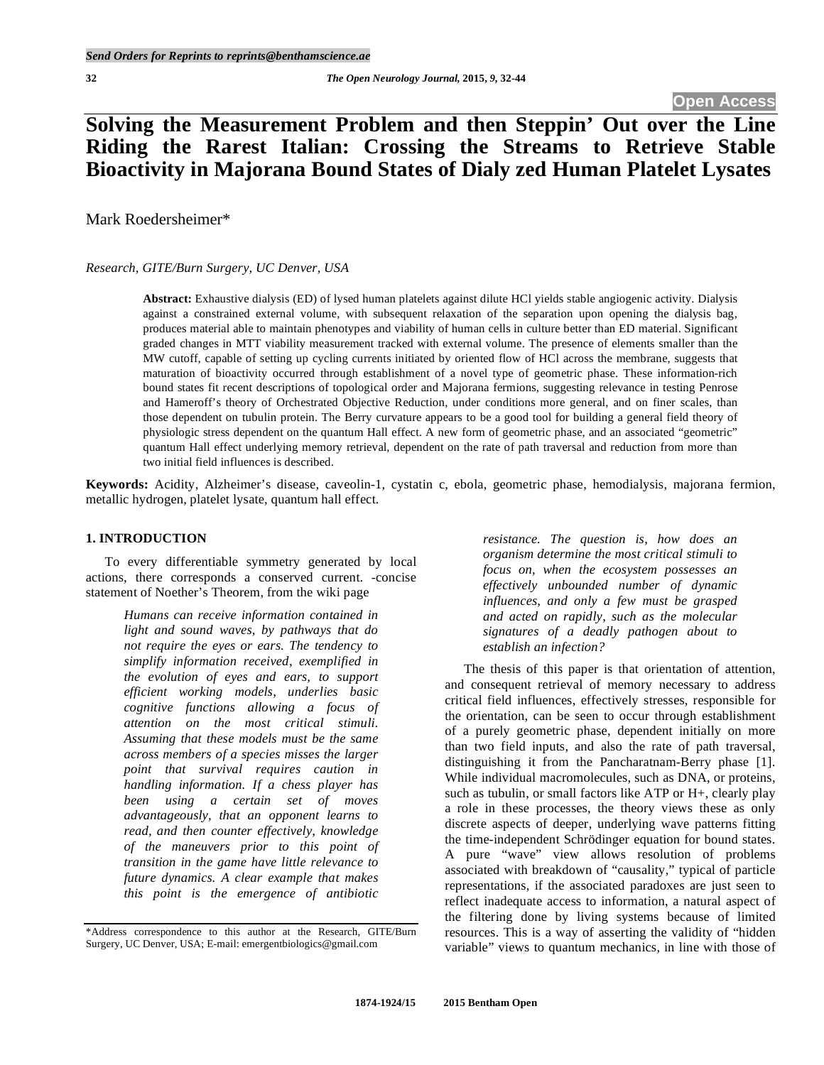# **Solving the Measurement Problem and then Steppin' Out over the Line Riding the Rarest Italian: Crossing the Streams to Retrieve Stable Bioactivity in Majorana Bound States of Dialy zed Human Platelet Lysates**

Mark Roedersheimer\*

#### *Research, GITE/Burn Surgery, UC Denver, USA*

**Abstract:** Exhaustive dialysis (ED) of lysed human platelets against dilute HCl yields stable angiogenic activity. Dialysis against a constrained external volume, with subsequent relaxation of the separation upon opening the dialysis bag, produces material able to maintain phenotypes and viability of human cells in culture better than ED material. Significant graded changes in MTT viability measurement tracked with external volume. The presence of elements smaller than the MW cutoff, capable of setting up cycling currents initiated by oriented flow of HCl across the membrane, suggests that maturation of bioactivity occurred through establishment of a novel type of geometric phase. These information-rich bound states fit recent descriptions of topological order and Majorana fermions, suggesting relevance in testing Penrose and Hameroff's theory of Orchestrated Objective Reduction, under conditions more general, and on finer scales, than those dependent on tubulin protein. The Berry curvature appears to be a good tool for building a general field theory of physiologic stress dependent on the quantum Hall effect. A new form of geometric phase, and an associated "geometric" quantum Hall effect underlying memory retrieval, dependent on the rate of path traversal and reduction from more than two initial field influences is described.

**Keywords:** Acidity, Alzheimer's disease, caveolin-1, cystatin c, ebola, geometric phase, hemodialysis, majorana fermion, metallic hydrogen, platelet lysate, quantum hall effect.

# **1. INTRODUCTION**

 To every differentiable symmetry generated by local actions, there corresponds a conserved current. -concise statement of Noether's Theorem, from the wiki page

> *Humans can receive information contained in light and sound waves, by pathways that do not require the eyes or ears. The tendency to simplify information received, exemplified in the evolution of eyes and ears, to support efficient working models, underlies basic cognitive functions allowing a focus of attention on the most critical stimuli. Assuming that these models must be the same across members of a species misses the larger point that survival requires caution in handling information. If a chess player has been using a certain set of moves advantageously, that an opponent learns to read, and then counter effectively, knowledge of the maneuvers prior to this point of transition in the game have little relevance to future dynamics. A clear example that makes this point is the emergence of antibiotic*

*resistance. The question is, how does an organism determine the most critical stimuli to focus on, when the ecosystem possesses an effectively unbounded number of dynamic influences, and only a few must be grasped and acted on rapidly, such as the molecular signatures of a deadly pathogen about to establish an infection?* 

 The thesis of this paper is that orientation of attention, and consequent retrieval of memory necessary to address critical field influences, effectively stresses, responsible for the orientation, can be seen to occur through establishment of a purely geometric phase, dependent initially on more than two field inputs, and also the rate of path traversal, distinguishing it from the Pancharatnam-Berry phase [1]. While individual macromolecules, such as DNA, or proteins, such as tubulin, or small factors like ATP or H+, clearly play a role in these processes, the theory views these as only discrete aspects of deeper, underlying wave patterns fitting the time-independent Schrödinger equation for bound states. A pure "wave" view allows resolution of problems associated with breakdown of "causality," typical of particle representations, if the associated paradoxes are just seen to reflect inadequate access to information, a natural aspect of the filtering done by living systems because of limited resources. This is a way of asserting the validity of "hidden variable" views to quantum mechanics, in line with those of

<sup>\*</sup>Address correspondence to this author at the Research, GITE/Burn Surgery, UC Denver, USA; E-mail: emergentbiologics@gmail.com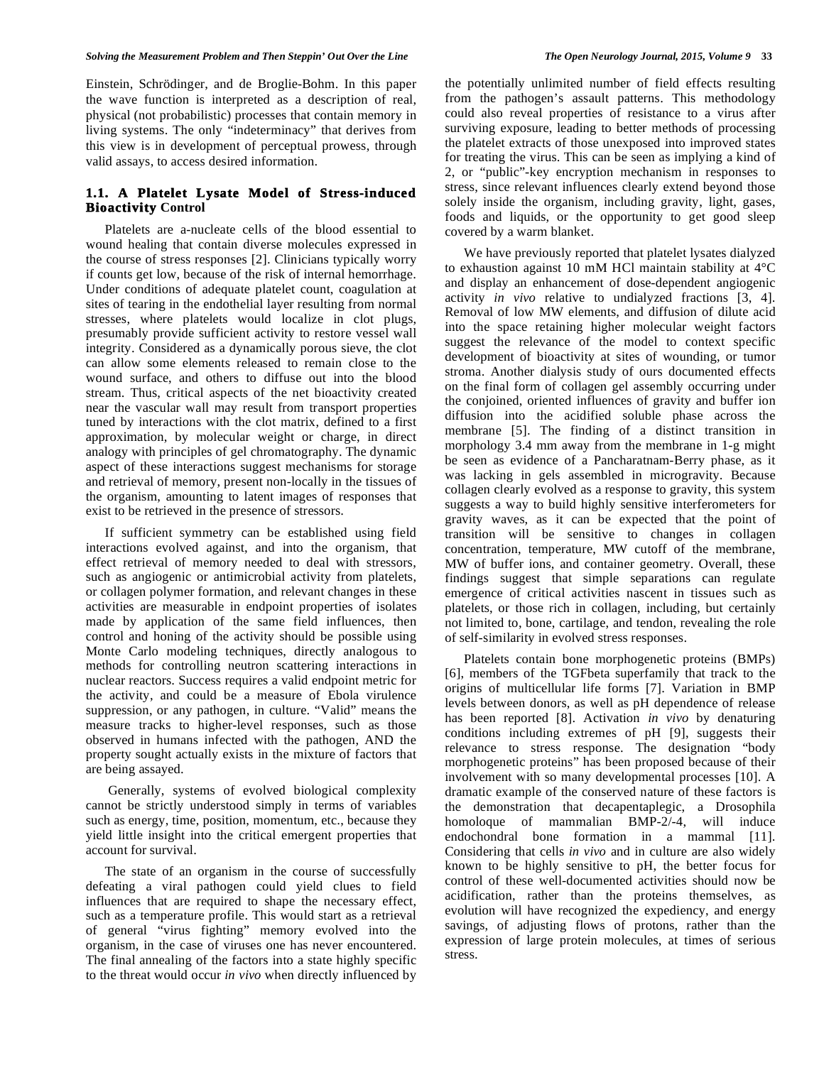Einstein, Schrödinger, and de Broglie-Bohm. In this paper the wave function is interpreted as a description of real, physical (not probabilistic) processes that contain memory in living systems. The only "indeterminacy" that derives from this view is in development of perceptual prowess, through valid assays, to access desired information.

# **1.1. A Platelet Lysate Model of Stress-induced Bioactivity Control**

 Platelets are a-nucleate cells of the blood essential to wound healing that contain diverse molecules expressed in the course of stress responses [2]. Clinicians typically worry if counts get low, because of the risk of internal hemorrhage. Under conditions of adequate platelet count, coagulation at sites of tearing in the endothelial layer resulting from normal stresses, where platelets would localize in clot plugs, presumably provide sufficient activity to restore vessel wall integrity. Considered as a dynamically porous sieve, the clot can allow some elements released to remain close to the wound surface, and others to diffuse out into the blood stream. Thus, critical aspects of the net bioactivity created near the vascular wall may result from transport properties tuned by interactions with the clot matrix, defined to a first approximation, by molecular weight or charge, in direct analogy with principles of gel chromatography. The dynamic aspect of these interactions suggest mechanisms for storage and retrieval of memory, present non-locally in the tissues of the organism, amounting to latent images of responses that exist to be retrieved in the presence of stressors.

 If sufficient symmetry can be established using field interactions evolved against, and into the organism, that effect retrieval of memory needed to deal with stressors, such as angiogenic or antimicrobial activity from platelets, or collagen polymer formation, and relevant changes in these activities are measurable in endpoint properties of isolates made by application of the same field influences, then control and honing of the activity should be possible using Monte Carlo modeling techniques, directly analogous to methods for controlling neutron scattering interactions in nuclear reactors. Success requires a valid endpoint metric for the activity, and could be a measure of Ebola virulence suppression, or any pathogen, in culture. "Valid" means the measure tracks to higher-level responses, such as those observed in humans infected with the pathogen, AND the property sought actually exists in the mixture of factors that are being assayed.

 Generally, systems of evolved biological complexity cannot be strictly understood simply in terms of variables such as energy, time, position, momentum, etc., because they yield little insight into the critical emergent properties that account for survival.

 The state of an organism in the course of successfully defeating a viral pathogen could yield clues to field influences that are required to shape the necessary effect, such as a temperature profile. This would start as a retrieval of general "virus fighting" memory evolved into the organism, in the case of viruses one has never encountered. The final annealing of the factors into a state highly specific to the threat would occur *in vivo* when directly influenced by

the potentially unlimited number of field effects resulting from the pathogen's assault patterns. This methodology could also reveal properties of resistance to a virus after surviving exposure, leading to better methods of processing the platelet extracts of those unexposed into improved states for treating the virus. This can be seen as implying a kind of 2, or "public"-key encryption mechanism in responses to stress, since relevant influences clearly extend beyond those solely inside the organism, including gravity, light, gases, foods and liquids, or the opportunity to get good sleep covered by a warm blanket.

 We have previously reported that platelet lysates dialyzed to exhaustion against 10 mM HCl maintain stability at 4°C and display an enhancement of dose-dependent angiogenic activity *in vivo* relative to undialyzed fractions [3, 4]. Removal of low MW elements, and diffusion of dilute acid into the space retaining higher molecular weight factors suggest the relevance of the model to context specific development of bioactivity at sites of wounding, or tumor stroma. Another dialysis study of ours documented effects on the final form of collagen gel assembly occurring under the conjoined, oriented influences of gravity and buffer ion diffusion into the acidified soluble phase across the membrane [5]. The finding of a distinct transition in morphology 3.4 mm away from the membrane in 1-g might be seen as evidence of a Pancharatnam-Berry phase, as it was lacking in gels assembled in microgravity. Because collagen clearly evolved as a response to gravity, this system suggests a way to build highly sensitive interferometers for gravity waves, as it can be expected that the point of transition will be sensitive to changes in collagen concentration, temperature, MW cutoff of the membrane, MW of buffer ions, and container geometry. Overall, these findings suggest that simple separations can regulate emergence of critical activities nascent in tissues such as platelets, or those rich in collagen, including, but certainly not limited to, bone, cartilage, and tendon, revealing the role of self-similarity in evolved stress responses.

 Platelets contain bone morphogenetic proteins (BMPs) [6], members of the TGFbeta superfamily that track to the origins of multicellular life forms [7]. Variation in BMP levels between donors, as well as pH dependence of release has been reported [8]. Activation *in vivo* by denaturing conditions including extremes of pH [9], suggests their relevance to stress response. The designation "body morphogenetic proteins" has been proposed because of their involvement with so many developmental processes [10]. A dramatic example of the conserved nature of these factors is the demonstration that decapentaplegic, a Drosophila homoloque of mammalian BMP-2/-4, will induce endochondral bone formation in a mammal [11]. Considering that cells *in vivo* and in culture are also widely known to be highly sensitive to pH, the better focus for control of these well-documented activities should now be acidification, rather than the proteins themselves, as evolution will have recognized the expediency, and energy savings, of adjusting flows of protons, rather than the expression of large protein molecules, at times of serious stress.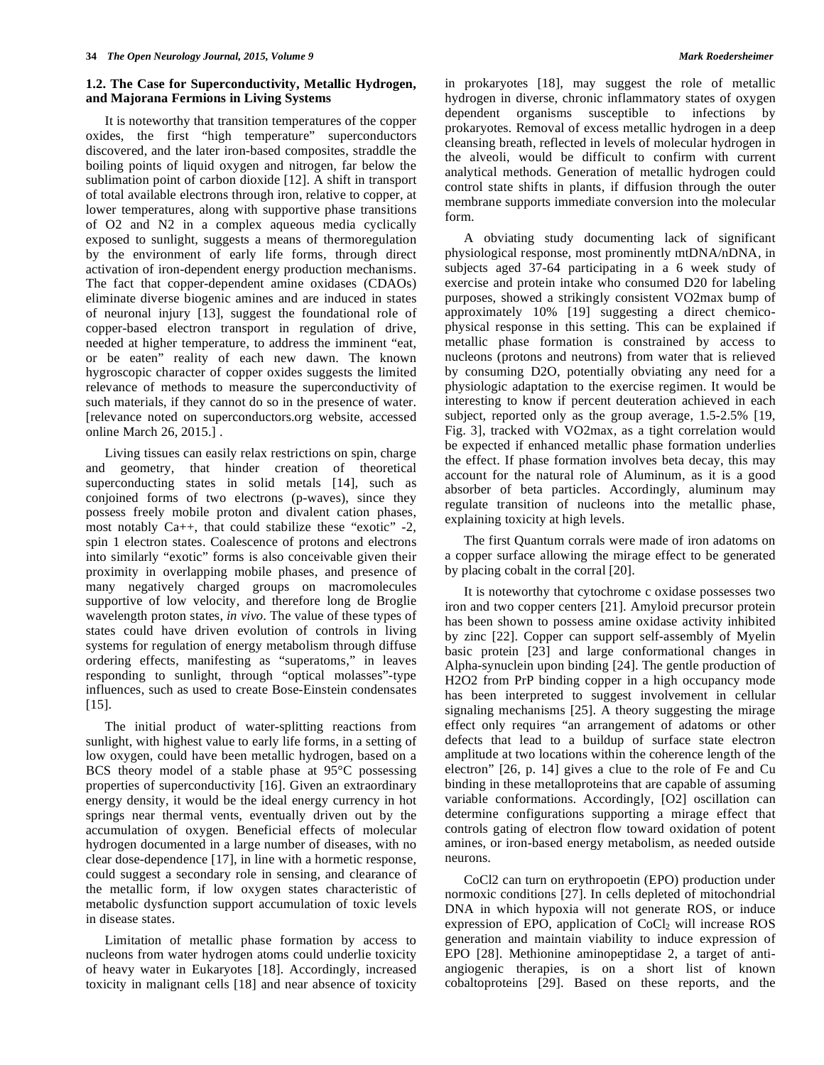### **1.2. The Case for Superconductivity, Metallic Hydrogen, and Majorana Fermions in Living Systems**

 It is noteworthy that transition temperatures of the copper oxides, the first "high temperature" superconductors discovered, and the later iron-based composites, straddle the boiling points of liquid oxygen and nitrogen, far below the sublimation point of carbon dioxide [12]. A shift in transport of total available electrons through iron, relative to copper, at lower temperatures, along with supportive phase transitions of O2 and N2 in a complex aqueous media cyclically exposed to sunlight, suggests a means of thermoregulation by the environment of early life forms, through direct activation of iron-dependent energy production mechanisms. The fact that copper-dependent amine oxidases (CDAOs) eliminate diverse biogenic amines and are induced in states of neuronal injury [13], suggest the foundational role of copper-based electron transport in regulation of drive, needed at higher temperature, to address the imminent "eat, or be eaten" reality of each new dawn. The known hygroscopic character of copper oxides suggests the limited relevance of methods to measure the superconductivity of such materials, if they cannot do so in the presence of water. [relevance noted on superconductors.org website, accessed online March 26, 2015.] .

 Living tissues can easily relax restrictions on spin, charge and geometry, that hinder creation of theoretical superconducting states in solid metals [14], such as conjoined forms of two electrons (p-waves), since they possess freely mobile proton and divalent cation phases, most notably Ca++, that could stabilize these "exotic" -2, spin 1 electron states. Coalescence of protons and electrons into similarly "exotic" forms is also conceivable given their proximity in overlapping mobile phases, and presence of many negatively charged groups on macromolecules supportive of low velocity, and therefore long de Broglie wavelength proton states, *in vivo*. The value of these types of states could have driven evolution of controls in living systems for regulation of energy metabolism through diffuse ordering effects, manifesting as "superatoms," in leaves responding to sunlight, through "optical molasses"-type influences, such as used to create Bose-Einstein condensates [15].

 The initial product of water-splitting reactions from sunlight, with highest value to early life forms, in a setting of low oxygen, could have been metallic hydrogen, based on a BCS theory model of a stable phase at 95°C possessing properties of superconductivity [16]. Given an extraordinary energy density, it would be the ideal energy currency in hot springs near thermal vents, eventually driven out by the accumulation of oxygen. Beneficial effects of molecular hydrogen documented in a large number of diseases, with no clear dose-dependence [17], in line with a hormetic response, could suggest a secondary role in sensing, and clearance of the metallic form, if low oxygen states characteristic of metabolic dysfunction support accumulation of toxic levels in disease states.

 Limitation of metallic phase formation by access to nucleons from water hydrogen atoms could underlie toxicity of heavy water in Eukaryotes [18]. Accordingly, increased toxicity in malignant cells [18] and near absence of toxicity

in prokaryotes [18], may suggest the role of metallic hydrogen in diverse, chronic inflammatory states of oxygen dependent organisms susceptible to infections by prokaryotes. Removal of excess metallic hydrogen in a deep cleansing breath, reflected in levels of molecular hydrogen in the alveoli, would be difficult to confirm with current analytical methods. Generation of metallic hydrogen could control state shifts in plants, if diffusion through the outer membrane supports immediate conversion into the molecular form.

 A obviating study documenting lack of significant physiological response, most prominently mtDNA/nDNA, in subjects aged 37-64 participating in a 6 week study of exercise and protein intake who consumed D20 for labeling purposes, showed a strikingly consistent VO2max bump of approximately 10% [19] suggesting a direct chemicophysical response in this setting. This can be explained if metallic phase formation is constrained by access to nucleons (protons and neutrons) from water that is relieved by consuming D2O, potentially obviating any need for a physiologic adaptation to the exercise regimen. It would be interesting to know if percent deuteration achieved in each subject, reported only as the group average, 1.5-2.5% [19, Fig. 3], tracked with VO2max, as a tight correlation would be expected if enhanced metallic phase formation underlies the effect. If phase formation involves beta decay, this may account for the natural role of Aluminum, as it is a good absorber of beta particles. Accordingly, aluminum may regulate transition of nucleons into the metallic phase, explaining toxicity at high levels.

 The first Quantum corrals were made of iron adatoms on a copper surface allowing the mirage effect to be generated by placing cobalt in the corral [20].

 It is noteworthy that cytochrome c oxidase possesses two iron and two copper centers [21]. Amyloid precursor protein has been shown to possess amine oxidase activity inhibited by zinc [22]. Copper can support self-assembly of Myelin basic protein [23] and large conformational changes in Alpha-synuclein upon binding [24]. The gentle production of H2O2 from PrP binding copper in a high occupancy mode has been interpreted to suggest involvement in cellular signaling mechanisms [25]. A theory suggesting the mirage effect only requires "an arrangement of adatoms or other defects that lead to a buildup of surface state electron amplitude at two locations within the coherence length of the electron" [26, p. 14] gives a clue to the role of Fe and Cu binding in these metalloproteins that are capable of assuming variable conformations. Accordingly, [O2] oscillation can determine configurations supporting a mirage effect that controls gating of electron flow toward oxidation of potent amines, or iron-based energy metabolism, as needed outside neurons.

 CoCl2 can turn on erythropoetin (EPO) production under normoxic conditions [27]. In cells depleted of mitochondrial DNA in which hypoxia will not generate ROS, or induce expression of EPO, application of CoCl<sub>2</sub> will increase ROS generation and maintain viability to induce expression of EPO [28]. Methionine aminopeptidase 2, a target of antiangiogenic therapies, is on a short list of known cobaltoproteins [29]. Based on these reports, and the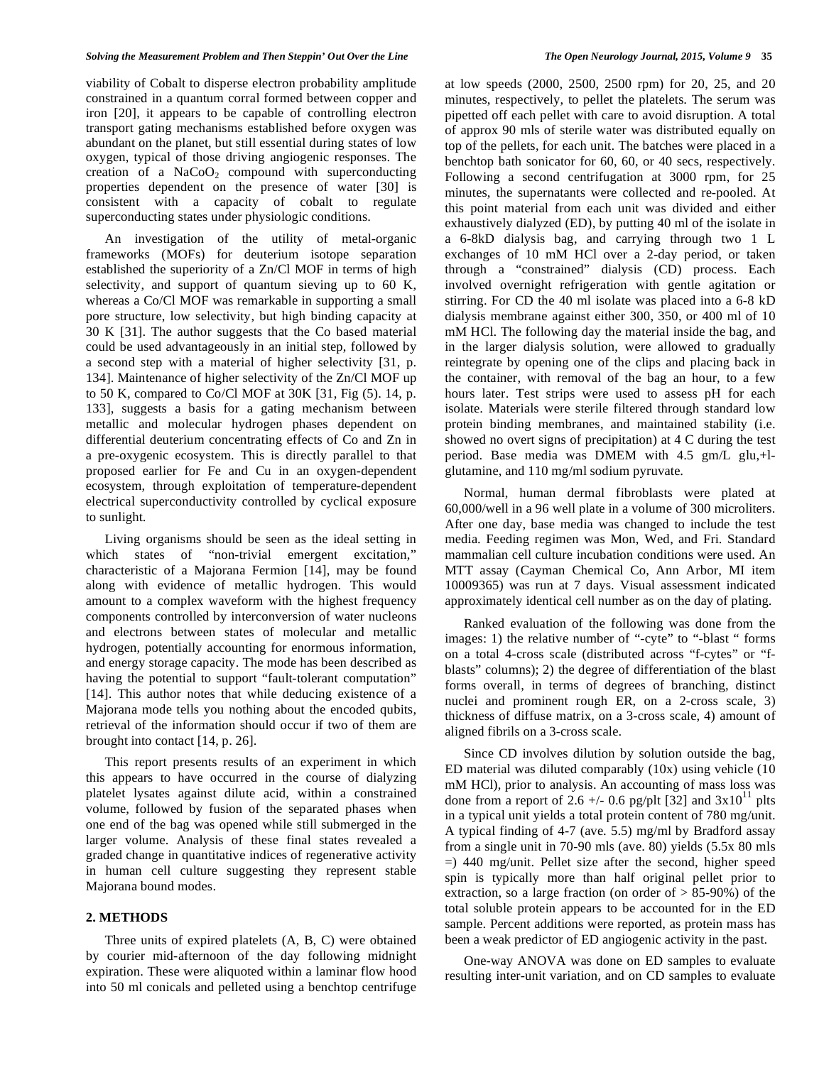viability of Cobalt to disperse electron probability amplitude constrained in a quantum corral formed between copper and iron [20], it appears to be capable of controlling electron transport gating mechanisms established before oxygen was abundant on the planet, but still essential during states of low oxygen, typical of those driving angiogenic responses. The creation of a  $NaCoO<sub>2</sub>$  compound with superconducting properties dependent on the presence of water [30] is consistent with a capacity of cobalt to regulate superconducting states under physiologic conditions.

 An investigation of the utility of metal-organic frameworks (MOFs) for deuterium isotope separation established the superiority of a Zn/Cl MOF in terms of high selectivity, and support of quantum sieving up to 60 K, whereas a Co/Cl MOF was remarkable in supporting a small pore structure, low selectivity, but high binding capacity at 30 K [31]. The author suggests that the Co based material could be used advantageously in an initial step, followed by a second step with a material of higher selectivity [31, p. 134]. Maintenance of higher selectivity of the Zn/Cl MOF up to 50 K, compared to Co/Cl MOF at 30K [31, Fig (5). 14, p. 133], suggests a basis for a gating mechanism between metallic and molecular hydrogen phases dependent on differential deuterium concentrating effects of Co and Zn in a pre-oxygenic ecosystem. This is directly parallel to that proposed earlier for Fe and Cu in an oxygen-dependent ecosystem, through exploitation of temperature-dependent electrical superconductivity controlled by cyclical exposure to sunlight.

 Living organisms should be seen as the ideal setting in which states of "non-trivial emergent excitation," characteristic of a Majorana Fermion [14], may be found along with evidence of metallic hydrogen. This would amount to a complex waveform with the highest frequency components controlled by interconversion of water nucleons and electrons between states of molecular and metallic hydrogen, potentially accounting for enormous information, and energy storage capacity. The mode has been described as having the potential to support "fault-tolerant computation" [14]. This author notes that while deducing existence of a Majorana mode tells you nothing about the encoded qubits, retrieval of the information should occur if two of them are brought into contact [14, p. 26].

 This report presents results of an experiment in which this appears to have occurred in the course of dialyzing platelet lysates against dilute acid, within a constrained volume, followed by fusion of the separated phases when one end of the bag was opened while still submerged in the larger volume. Analysis of these final states revealed a graded change in quantitative indices of regenerative activity in human cell culture suggesting they represent stable Majorana bound modes.

#### **2. METHODS**

 Three units of expired platelets (A, B, C) were obtained by courier mid-afternoon of the day following midnight expiration. These were aliquoted within a laminar flow hood into 50 ml conicals and pelleted using a benchtop centrifuge at low speeds (2000, 2500, 2500 rpm) for 20, 25, and 20 minutes, respectively, to pellet the platelets. The serum was pipetted off each pellet with care to avoid disruption. A total of approx 90 mls of sterile water was distributed equally on top of the pellets, for each unit. The batches were placed in a benchtop bath sonicator for 60, 60, or 40 secs, respectively. Following a second centrifugation at 3000 rpm, for 25 minutes, the supernatants were collected and re-pooled. At this point material from each unit was divided and either exhaustively dialyzed (ED), by putting 40 ml of the isolate in a 6-8kD dialysis bag, and carrying through two 1 L exchanges of 10 mM HCl over a 2-day period, or taken through a "constrained" dialysis (CD) process. Each involved overnight refrigeration with gentle agitation or stirring. For CD the 40 ml isolate was placed into a 6-8 kD dialysis membrane against either 300, 350, or 400 ml of 10 mM HCl. The following day the material inside the bag, and in the larger dialysis solution, were allowed to gradually reintegrate by opening one of the clips and placing back in the container, with removal of the bag an hour, to a few hours later. Test strips were used to assess pH for each isolate. Materials were sterile filtered through standard low protein binding membranes, and maintained stability (i.e. showed no overt signs of precipitation) at 4 C during the test period. Base media was DMEM with 4.5 gm/L glu,+lglutamine, and 110 mg/ml sodium pyruvate.

 Normal, human dermal fibroblasts were plated at 60,000/well in a 96 well plate in a volume of 300 microliters. After one day, base media was changed to include the test media. Feeding regimen was Mon, Wed, and Fri. Standard mammalian cell culture incubation conditions were used. An MTT assay (Cayman Chemical Co, Ann Arbor, MI item 10009365) was run at 7 days. Visual assessment indicated approximately identical cell number as on the day of plating.

 Ranked evaluation of the following was done from the images: 1) the relative number of "-cyte" to "-blast " forms on a total 4-cross scale (distributed across "f-cytes" or "fblasts" columns); 2) the degree of differentiation of the blast forms overall, in terms of degrees of branching, distinct nuclei and prominent rough ER, on a 2-cross scale, 3) thickness of diffuse matrix, on a 3-cross scale, 4) amount of aligned fibrils on a 3-cross scale.

 Since CD involves dilution by solution outside the bag, ED material was diluted comparably (10x) using vehicle (10 mM HCl), prior to analysis. An accounting of mass loss was done from a report of 2.6 +/- 0.6 pg/plt [32] and  $3x10^{11}$  plts in a typical unit yields a total protein content of 780 mg/unit. A typical finding of 4-7 (ave. 5.5) mg/ml by Bradford assay from a single unit in 70-90 mls (ave. 80) yields (5.5x 80 mls =) 440 mg/unit. Pellet size after the second, higher speed spin is typically more than half original pellet prior to extraction, so a large fraction (on order of > 85-90%) of the total soluble protein appears to be accounted for in the ED sample. Percent additions were reported, as protein mass has been a weak predictor of ED angiogenic activity in the past.

 One-way ANOVA was done on ED samples to evaluate resulting inter-unit variation, and on CD samples to evaluate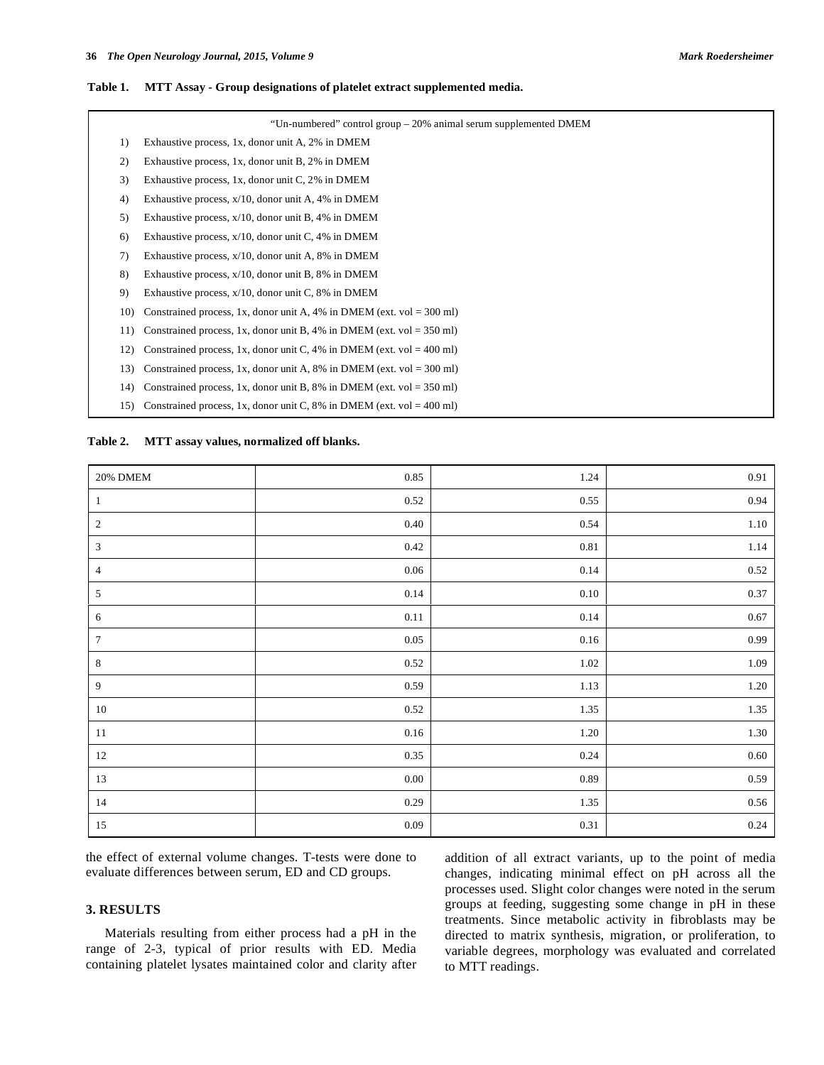#### **Table 1. MTT Assay - Group designations of platelet extract supplemented media.**

|     | "Un-numbered" control group – 20% animal serum supplemented DMEM        |
|-----|-------------------------------------------------------------------------|
| 1)  | Exhaustive process, 1x, donor unit A, 2% in DMEM                        |
| 2)  | Exhaustive process, 1x, donor unit B, 2% in DMEM                        |
| 3)  | Exhaustive process, 1x, donor unit C, 2% in DMEM                        |
| 4)  | Exhaustive process, $x/10$ , donor unit A, 4% in DMEM                   |
| 5)  | Exhaustive process, $x/10$ , donor unit B, 4% in DMEM                   |
| 6)  | Exhaustive process, $x/10$ , donor unit C, 4% in DMEM                   |
| 7)  | Exhaustive process, $x/10$ , donor unit A, 8% in DMEM                   |
| 8)  | Exhaustive process, $x/10$ , donor unit B, 8% in DMEM                   |
| 9)  | Exhaustive process, $x/10$ , donor unit C, 8% in DMEM                   |
| 10) | Constrained process, 1x, donor unit A, 4% in DMEM (ext. vol = $300$ ml) |
| 11) | Constrained process, 1x, donor unit B, 4% in DMEM (ext. vol = $350$ ml) |
| 12) | Constrained process, 1x, donor unit C, 4% in DMEM (ext. vol = 400 ml)   |
| 13) | Constrained process, 1x, donor unit A, 8% in DMEM (ext. vol = 300 ml)   |
| 14) | Constrained process, 1x, donor unit B, 8% in DMEM (ext. vol = $350$ ml) |
| 15) | Constrained process, 1x, donor unit C, 8% in DMEM (ext. vol = 400 ml)   |

| Table 2. |  | MTT assay values, normalized off blanks. |  |
|----------|--|------------------------------------------|--|
|          |  |                                          |  |

| $20\%$ DMEM    | $0.85\,$ | 1.24       | 0.91       |
|----------------|----------|------------|------------|
| $\mathbf{1}$   | $0.52\,$ | $0.55\,$   | $\rm 0.94$ |
| $\overline{2}$ | $0.40\,$ | 0.54       | $1.10\,$   |
| 3              | $0.42\,$ | $\rm 0.81$ | 1.14       |
| $\overline{4}$ | $0.06\,$ | 0.14       | $0.52\,$   |
| $\mathfrak{S}$ | $0.14\,$ | $0.10\,$   | $0.37\,$   |
| 6              | $0.11\,$ | $0.14\,$   | $0.67\,$   |
| 7              | $0.05\,$ | $0.16\,$   | $\rm 0.99$ |
| 8              | $0.52\,$ | $1.02\,$   | 1.09       |
| $\overline{9}$ | 0.59     | 1.13       | $1.20\,$   |
| $10\,$         | $0.52\,$ | 1.35       | 1.35       |
| $11\,$         | $0.16\,$ | $1.20\,$   | $1.30\,$   |
| $12\,$         | 0.35     | 0.24       | $0.60\,$   |
| 13             | $0.00\,$ | $\rm 0.89$ | $0.59\,$   |
| $14\,$         | 0.29     | 1.35       | $0.56\,$   |
| $15\,$         | $0.09\,$ | $0.31\,$   | $0.24\,$   |

the effect of external volume changes. T-tests were done to evaluate differences between serum, ED and CD groups.

# **3. RESULTS**

 Materials resulting from either process had a pH in the range of 2-3, typical of prior results with ED. Media containing platelet lysates maintained color and clarity after addition of all extract variants, up to the point of media changes, indicating minimal effect on pH across all the processes used. Slight color changes were noted in the serum groups at feeding, suggesting some change in pH in these treatments. Since metabolic activity in fibroblasts may be directed to matrix synthesis, migration, or proliferation, to variable degrees, morphology was evaluated and correlated to MTT readings.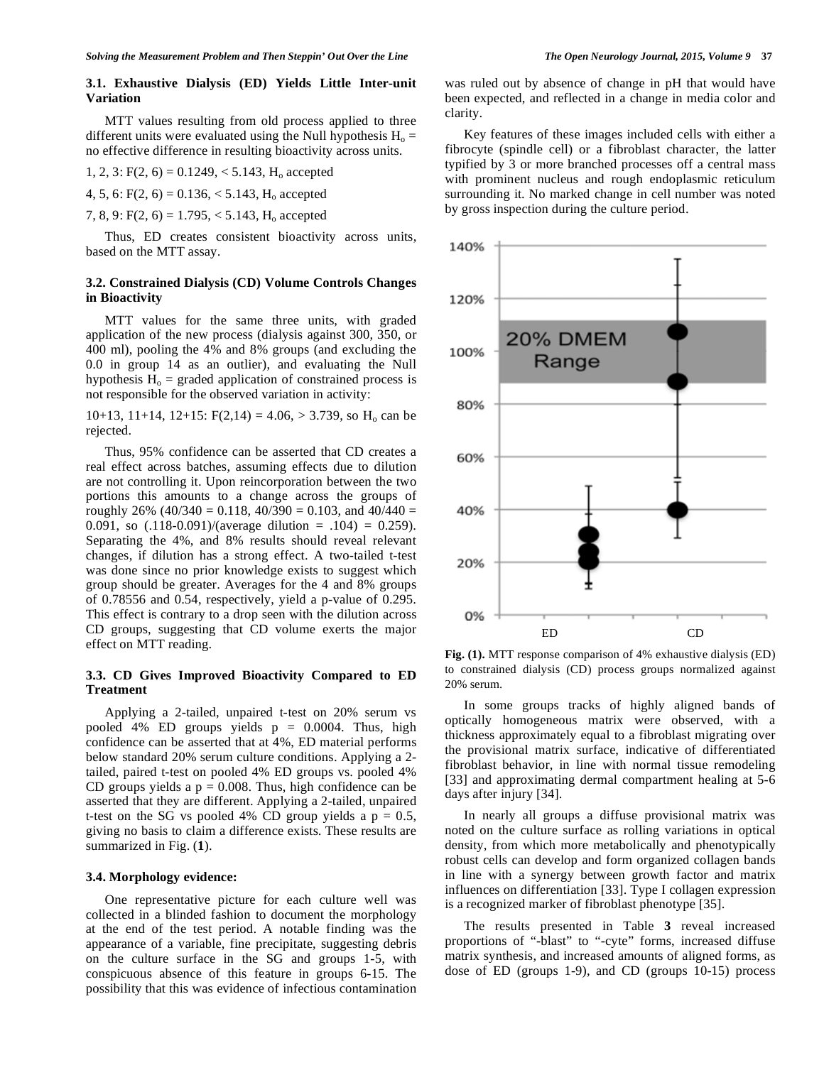## **3.1. Exhaustive Dialysis (ED) Yields Little Inter-unit Variation**

 MTT values resulting from old process applied to three different units were evaluated using the Null hypothesis  $H_0 =$ no effective difference in resulting bioactivity across units.

1, 2, 3:  $F(2, 6) = 0.1249, < 5.143, H<sub>o</sub>$  accepted

4, 5, 6:  $F(2, 6) = 0.136, < 5.143, H<sub>o</sub>$  accepted

7, 8, 9:  $F(2, 6) = 1.795, < 5.143, H<sub>o</sub>$  accepted

 Thus, ED creates consistent bioactivity across units, based on the MTT assay.

#### **3.2. Constrained Dialysis (CD) Volume Controls Changes in Bioactivity**

 MTT values for the same three units, with graded application of the new process (dialysis against 300, 350, or 400 ml), pooling the 4% and 8% groups (and excluding the 0.0 in group 14 as an outlier), and evaluating the Null hypothesis  $H_0$  = graded application of constrained process is not responsible for the observed variation in activity:

10+13, 11+14, 12+15:  $F(2,14) = 4.06$ , > 3.739, so H<sub>o</sub> can be rejected.

 Thus, 95% confidence can be asserted that CD creates a real effect across batches, assuming effects due to dilution are not controlling it. Upon reincorporation between the two portions this amounts to a change across the groups of roughly 26% (40/340 = 0.118, 40/390 = 0.103, and 40/440 = 0.091, so  $(.118-0.091)/(average\ dilution = .104) = 0.259$ . Separating the 4%, and 8% results should reveal relevant changes, if dilution has a strong effect. A two-tailed t-test was done since no prior knowledge exists to suggest which group should be greater. Averages for the 4 and 8% groups of 0.78556 and 0.54, respectively, yield a p-value of 0.295. This effect is contrary to a drop seen with the dilution across CD groups, suggesting that CD volume exerts the major effect on MTT reading.

# **3.3. CD Gives Improved Bioactivity Compared to ED Treatment**

 Applying a 2-tailed, unpaired t-test on 20% serum vs pooled 4% ED groups yields  $p = 0.0004$ . Thus, high confidence can be asserted that at 4%, ED material performs below standard 20% serum culture conditions. Applying a 2 tailed, paired t-test on pooled 4% ED groups vs. pooled 4% CD groups yields a  $p = 0.008$ . Thus, high confidence can be asserted that they are different. Applying a 2-tailed, unpaired t-test on the SG vs pooled 4% CD group yields a  $p = 0.5$ , giving no basis to claim a difference exists. These results are summarized in Fig. (**1**).

#### **3.4. Morphology evidence:**

 One representative picture for each culture well was collected in a blinded fashion to document the morphology at the end of the test period. A notable finding was the appearance of a variable, fine precipitate, suggesting debris on the culture surface in the SG and groups 1-5, with conspicuous absence of this feature in groups 6-15. The possibility that this was evidence of infectious contamination was ruled out by absence of change in pH that would have been expected, and reflected in a change in media color and clarity.

 Key features of these images included cells with either a fibrocyte (spindle cell) or a fibroblast character, the latter typified by 3 or more branched processes off a central mass with prominent nucleus and rough endoplasmic reticulum surrounding it. No marked change in cell number was noted by gross inspection during the culture period.





 In some groups tracks of highly aligned bands of optically homogeneous matrix were observed, with a thickness approximately equal to a fibroblast migrating over the provisional matrix surface, indicative of differentiated fibroblast behavior, in line with normal tissue remodeling [33] and approximating dermal compartment healing at 5-6 days after injury [34].

 In nearly all groups a diffuse provisional matrix was noted on the culture surface as rolling variations in optical density, from which more metabolically and phenotypically robust cells can develop and form organized collagen bands in line with a synergy between growth factor and matrix influences on differentiation [33]. Type I collagen expression is a recognized marker of fibroblast phenotype [35].

 The results presented in Table **3** reveal increased proportions of "-blast" to "-cyte" forms, increased diffuse matrix synthesis, and increased amounts of aligned forms, as dose of ED (groups 1-9), and CD (groups 10-15) process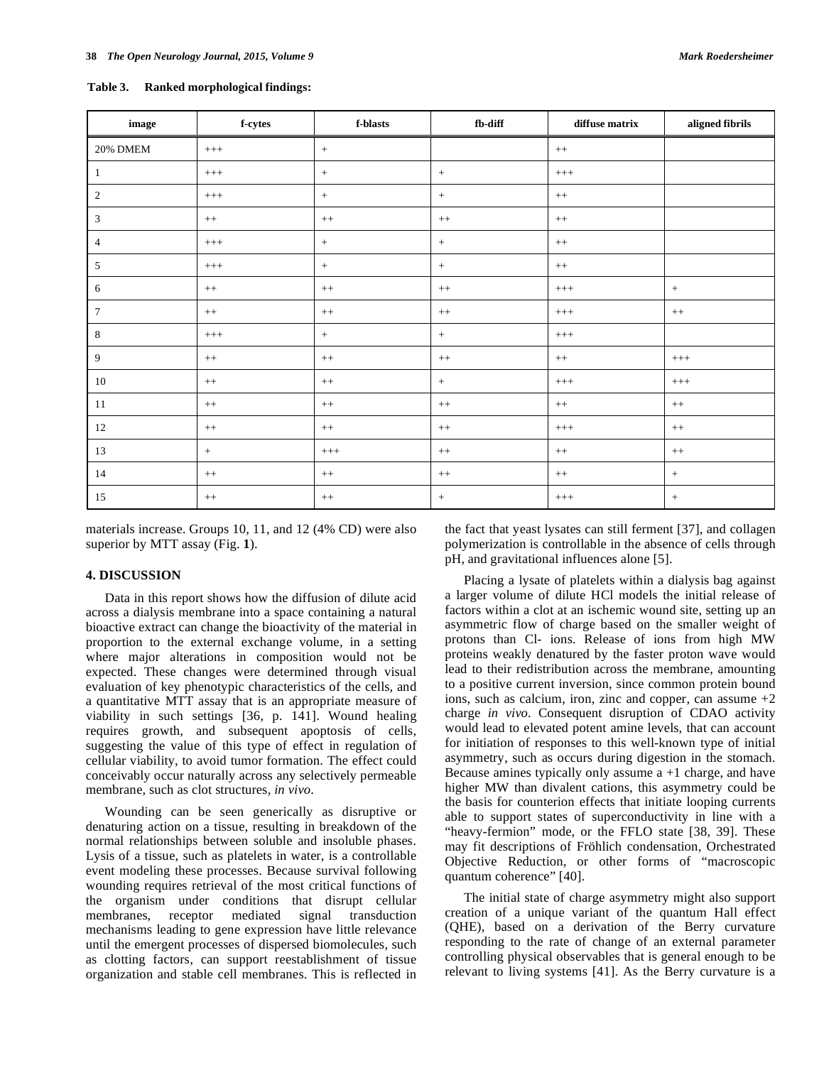**Table 3. Ranked morphological findings:** 

| $\mathbf{image}$ | ${\bf f}{\text{-}{\bf c}{\bf y}{\bf t}{\bf e}{\bf s}}$ | $f$ -blasts | $fb$ -diff       | diffuse matrix | aligned fibrils |
|------------------|--------------------------------------------------------|-------------|------------------|----------------|-----------------|
| $20\%$ DMEM      | $^{+++}$                                               | $\,$ + $\,$ |                  | $++$           |                 |
| $\mathbf{I}$     | $^{+++}$                                               | $\, +$      | $\,$ + $\,$      | $^{+++}$       |                 |
| 2                | $^{+++}$                                               | $\, +$      | $\, +$           | $^{++}$        |                 |
| 3                | $++$                                                   | $^{++}\,$   | $++$             | $++$           |                 |
| $\overline{4}$   | $^{+++}$                                               | $\, +$      | $\boldsymbol{+}$ | $^{++}\,$      |                 |
| 5                | $^{+++}$                                               | $\, +$      | $\, +$           | $^{++}$        |                 |
| 6                | $++$                                                   | $++$        | $^{++}$          | $^{+++}$       | $+$             |
| $\tau$           | $++$                                                   | $++$        | $^{++}$          | $^{+++}$       | $++$            |
| 8                | $^{+++}$                                               | $\, +$      | $+$              | $^{+++}$       |                 |
| 9                | $++$                                                   | $++$        | $^{++}$          | $++$           | $^{+++}$        |
| 10               | $++$                                                   | $^{++}$     | $\pm$            | $^{+++}$       | $^{+++}$        |
| $11\,$           | $++$                                                   | $++$        | $++$             | $++$           | $++$            |
| 12               | $++$                                                   | $++$        | $^{++}$          | $^{+++}$       | $++$            |
| 13               | $\,$ + $\,$                                            | $^{+++}$    | $^{++}$          | $^{++}$        | $++$            |
| 14               | $++$                                                   | $++$        | $^{++}$          | $++$           | $\,$ + $\,$     |
| 15               | $++$                                                   | $++$        | $\, +$           | $^{+++}$       | $\,$ + $\,$     |

materials increase. Groups 10, 11, and 12 (4% CD) were also superior by MTT assay (Fig. **1**).

#### **4. DISCUSSION**

 Data in this report shows how the diffusion of dilute acid across a dialysis membrane into a space containing a natural bioactive extract can change the bioactivity of the material in proportion to the external exchange volume, in a setting where major alterations in composition would not be expected. These changes were determined through visual evaluation of key phenotypic characteristics of the cells, and a quantitative MTT assay that is an appropriate measure of viability in such settings [36, p. 141]. Wound healing requires growth, and subsequent apoptosis of cells, suggesting the value of this type of effect in regulation of cellular viability, to avoid tumor formation. The effect could conceivably occur naturally across any selectively permeable membrane, such as clot structures, *in vivo*.

 Wounding can be seen generically as disruptive or denaturing action on a tissue, resulting in breakdown of the normal relationships between soluble and insoluble phases. Lysis of a tissue, such as platelets in water, is a controllable event modeling these processes. Because survival following wounding requires retrieval of the most critical functions of the organism under conditions that disrupt cellular membranes, receptor mediated signal transduction mechanisms leading to gene expression have little relevance until the emergent processes of dispersed biomolecules, such as clotting factors, can support reestablishment of tissue organization and stable cell membranes. This is reflected in the fact that yeast lysates can still ferment [37], and collagen polymerization is controllable in the absence of cells through pH, and gravitational influences alone [5].

 Placing a lysate of platelets within a dialysis bag against a larger volume of dilute HCl models the initial release of factors within a clot at an ischemic wound site, setting up an asymmetric flow of charge based on the smaller weight of protons than Cl- ions. Release of ions from high MW proteins weakly denatured by the faster proton wave would lead to their redistribution across the membrane, amounting to a positive current inversion, since common protein bound ions, such as calcium, iron, zinc and copper, can assume  $+2$ charge *in vivo*. Consequent disruption of CDAO activity would lead to elevated potent amine levels, that can account for initiation of responses to this well-known type of initial asymmetry, such as occurs during digestion in the stomach. Because amines typically only assume  $a + 1$  charge, and have higher MW than divalent cations, this asymmetry could be the basis for counterion effects that initiate looping currents able to support states of superconductivity in line with a "heavy-fermion" mode, or the FFLO state [38, 39]. These may fit descriptions of Fröhlich condensation, Orchestrated Objective Reduction, or other forms of "macroscopic quantum coherence" [40].

 The initial state of charge asymmetry might also support creation of a unique variant of the quantum Hall effect (QHE), based on a derivation of the Berry curvature responding to the rate of change of an external parameter controlling physical observables that is general enough to be relevant to living systems [41]. As the Berry curvature is a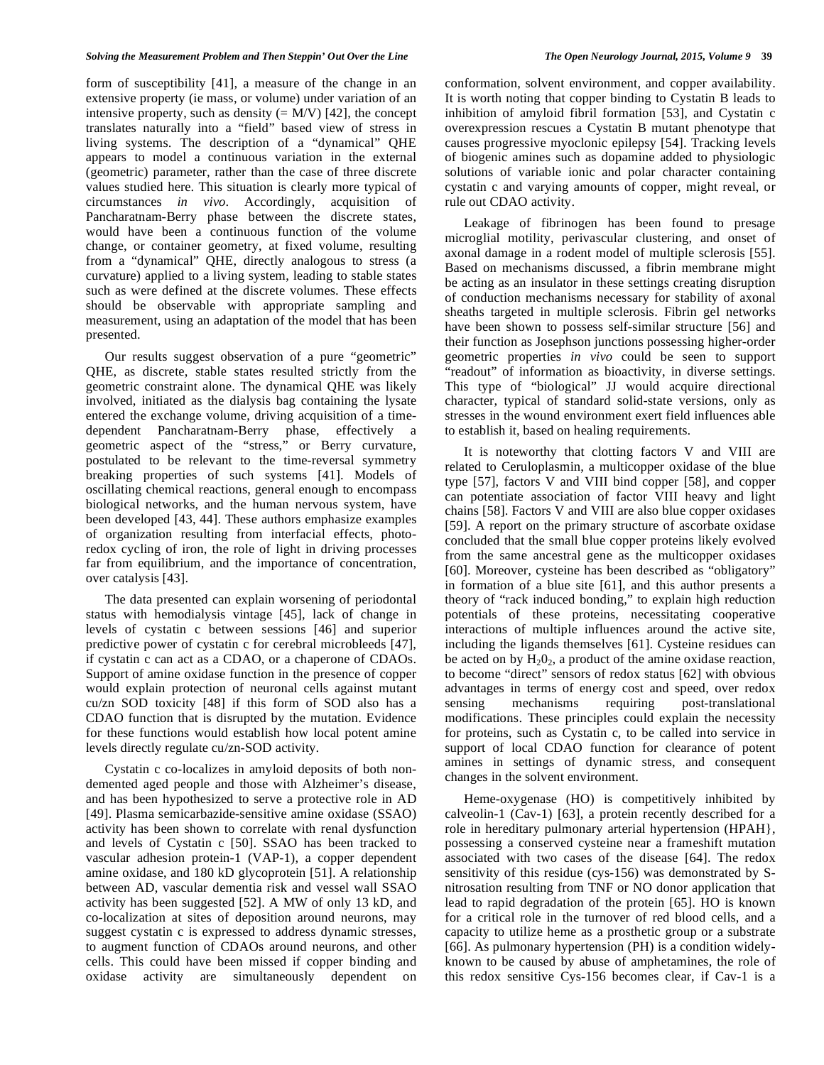#### *Solving the Measurement Problem and Then Steppin' Out Over the Line The Open Neurology Journal, 2015, Volume 9* **39**

form of susceptibility [41], a measure of the change in an extensive property (ie mass, or volume) under variation of an intensive property, such as density  $(= M/V)$  [42], the concept translates naturally into a "field" based view of stress in living systems. The description of a "dynamical" QHE appears to model a continuous variation in the external (geometric) parameter, rather than the case of three discrete values studied here. This situation is clearly more typical of circumstances *in vivo*. Accordingly, acquisition of Pancharatnam-Berry phase between the discrete states, would have been a continuous function of the volume change, or container geometry, at fixed volume, resulting from a "dynamical" QHE, directly analogous to stress (a curvature) applied to a living system, leading to stable states such as were defined at the discrete volumes. These effects should be observable with appropriate sampling and measurement, using an adaptation of the model that has been presented.

 Our results suggest observation of a pure "geometric" QHE, as discrete, stable states resulted strictly from the geometric constraint alone. The dynamical QHE was likely involved, initiated as the dialysis bag containing the lysate entered the exchange volume, driving acquisition of a timedependent Pancharatnam-Berry phase, effectively a geometric aspect of the "stress," or Berry curvature, postulated to be relevant to the time-reversal symmetry breaking properties of such systems [41]. Models of oscillating chemical reactions, general enough to encompass biological networks, and the human nervous system, have been developed [43, 44]. These authors emphasize examples of organization resulting from interfacial effects, photoredox cycling of iron, the role of light in driving processes far from equilibrium, and the importance of concentration, over catalysis [43].

 The data presented can explain worsening of periodontal status with hemodialysis vintage [45], lack of change in levels of cystatin c between sessions [46] and superior predictive power of cystatin c for cerebral microbleeds [47], if cystatin c can act as a CDAO, or a chaperone of CDAOs. Support of amine oxidase function in the presence of copper would explain protection of neuronal cells against mutant cu/zn SOD toxicity [48] if this form of SOD also has a CDAO function that is disrupted by the mutation. Evidence for these functions would establish how local potent amine levels directly regulate cu/zn-SOD activity.

 Cystatin c co-localizes in amyloid deposits of both nondemented aged people and those with Alzheimer's disease, and has been hypothesized to serve a protective role in AD [49]. Plasma semicarbazide-sensitive amine oxidase (SSAO) activity has been shown to correlate with renal dysfunction and levels of Cystatin c [50]. SSAO has been tracked to vascular adhesion protein-1 (VAP-1), a copper dependent amine oxidase, and 180 kD glycoprotein [51]. A relationship between AD, vascular dementia risk and vessel wall SSAO activity has been suggested [52]. A MW of only 13 kD, and co-localization at sites of deposition around neurons, may suggest cystatin c is expressed to address dynamic stresses, to augment function of CDAOs around neurons, and other cells. This could have been missed if copper binding and oxidase activity are simultaneously dependent on

conformation, solvent environment, and copper availability. It is worth noting that copper binding to Cystatin B leads to inhibition of amyloid fibril formation [53], and Cystatin c overexpression rescues a Cystatin B mutant phenotype that causes progressive myoclonic epilepsy [54]. Tracking levels of biogenic amines such as dopamine added to physiologic solutions of variable ionic and polar character containing cystatin c and varying amounts of copper, might reveal, or rule out CDAO activity.

 Leakage of fibrinogen has been found to presage microglial motility, perivascular clustering, and onset of axonal damage in a rodent model of multiple sclerosis [55]. Based on mechanisms discussed, a fibrin membrane might be acting as an insulator in these settings creating disruption of conduction mechanisms necessary for stability of axonal sheaths targeted in multiple sclerosis. Fibrin gel networks have been shown to possess self-similar structure [56] and their function as Josephson junctions possessing higher-order geometric properties *in vivo* could be seen to support "readout" of information as bioactivity, in diverse settings. This type of "biological" JJ would acquire directional character, typical of standard solid-state versions, only as stresses in the wound environment exert field influences able to establish it, based on healing requirements.

 It is noteworthy that clotting factors V and VIII are related to Ceruloplasmin, a multicopper oxidase of the blue type [57], factors V and VIII bind copper [58], and copper can potentiate association of factor VIII heavy and light chains [58]. Factors V and VIII are also blue copper oxidases [59]. A report on the primary structure of ascorbate oxidase concluded that the small blue copper proteins likely evolved from the same ancestral gene as the multicopper oxidases [60]. Moreover, cysteine has been described as "obligatory" in formation of a blue site [61], and this author presents a theory of "rack induced bonding," to explain high reduction potentials of these proteins, necessitating cooperative interactions of multiple influences around the active site, including the ligands themselves [61]. Cysteine residues can be acted on by  $H_2O_2$ , a product of the amine oxidase reaction, to become "direct" sensors of redox status [62] with obvious advantages in terms of energy cost and speed, over redox sensing mechanisms requiring post-translational modifications. These principles could explain the necessity for proteins, such as Cystatin c, to be called into service in support of local CDAO function for clearance of potent amines in settings of dynamic stress, and consequent changes in the solvent environment.

 Heme-oxygenase (HO) is competitively inhibited by calveolin-1 (Cav-1) [63], a protein recently described for a role in hereditary pulmonary arterial hypertension (HPAH}, possessing a conserved cysteine near a frameshift mutation associated with two cases of the disease [64]. The redox sensitivity of this residue (cys-156) was demonstrated by Snitrosation resulting from TNF or NO donor application that lead to rapid degradation of the protein [65]. HO is known for a critical role in the turnover of red blood cells, and a capacity to utilize heme as a prosthetic group or a substrate [66]. As pulmonary hypertension (PH) is a condition widelyknown to be caused by abuse of amphetamines, the role of this redox sensitive Cys-156 becomes clear, if Cav-1 is a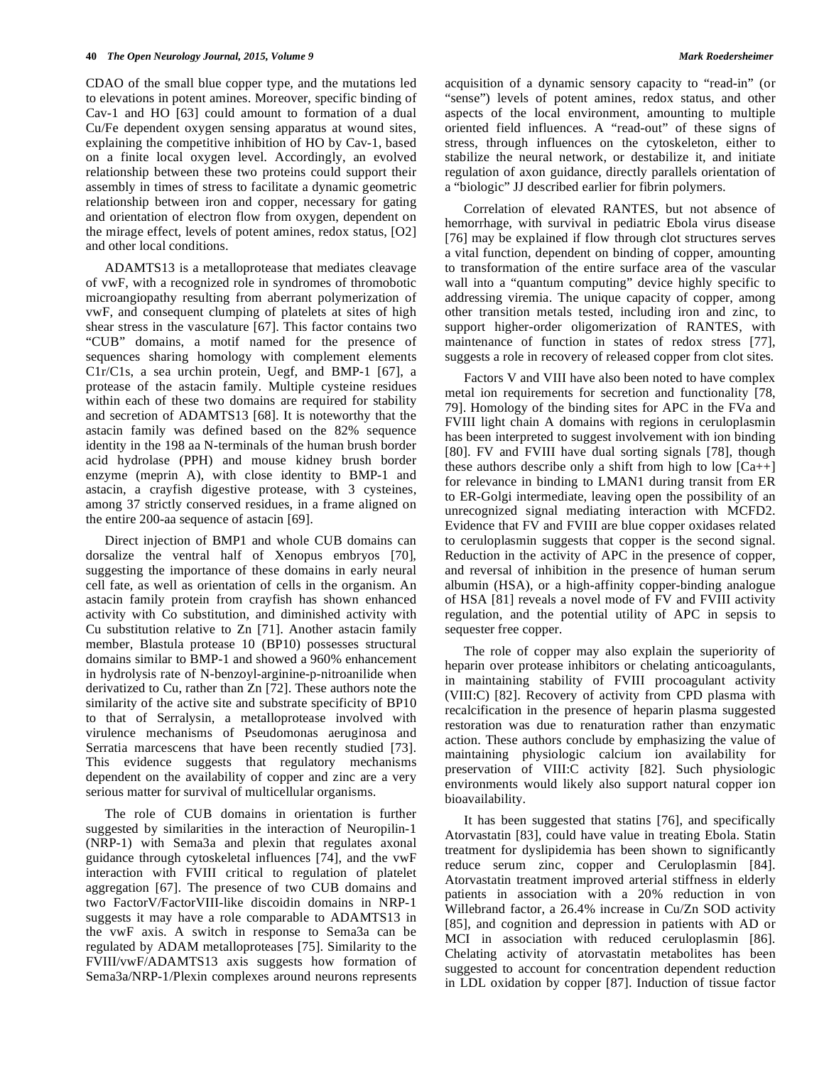CDAO of the small blue copper type, and the mutations led to elevations in potent amines. Moreover, specific binding of Cav-1 and HO [63] could amount to formation of a dual Cu/Fe dependent oxygen sensing apparatus at wound sites, explaining the competitive inhibition of HO by Cav-1, based on a finite local oxygen level. Accordingly, an evolved relationship between these two proteins could support their assembly in times of stress to facilitate a dynamic geometric relationship between iron and copper, necessary for gating and orientation of electron flow from oxygen, dependent on the mirage effect, levels of potent amines, redox status, [O2] and other local conditions.

 ADAMTS13 is a metalloprotease that mediates cleavage of vwF, with a recognized role in syndromes of thromobotic microangiopathy resulting from aberrant polymerization of vwF, and consequent clumping of platelets at sites of high shear stress in the vasculature [67]. This factor contains two "CUB" domains, a motif named for the presence of sequences sharing homology with complement elements C1r/C1s, a sea urchin protein, Uegf, and BMP-1 [67], a protease of the astacin family. Multiple cysteine residues within each of these two domains are required for stability and secretion of ADAMTS13 [68]. It is noteworthy that the astacin family was defined based on the 82% sequence identity in the 198 aa N-terminals of the human brush border acid hydrolase (PPH) and mouse kidney brush border enzyme (meprin A), with close identity to BMP-1 and astacin, a crayfish digestive protease, with 3 cysteines, among 37 strictly conserved residues, in a frame aligned on the entire 200-aa sequence of astacin [69].

 Direct injection of BMP1 and whole CUB domains can dorsalize the ventral half of Xenopus embryos [70], suggesting the importance of these domains in early neural cell fate, as well as orientation of cells in the organism. An astacin family protein from crayfish has shown enhanced activity with Co substitution, and diminished activity with Cu substitution relative to Zn [71]. Another astacin family member, Blastula protease 10 (BP10) possesses structural domains similar to BMP-1 and showed a 960% enhancement in hydrolysis rate of N-benzoyl-arginine-p-nitroanilide when derivatized to Cu, rather than Zn [72]. These authors note the similarity of the active site and substrate specificity of BP10 to that of Serralysin, a metalloprotease involved with virulence mechanisms of Pseudomonas aeruginosa and Serratia marcescens that have been recently studied [73]. This evidence suggests that regulatory mechanisms dependent on the availability of copper and zinc are a very serious matter for survival of multicellular organisms.

 The role of CUB domains in orientation is further suggested by similarities in the interaction of Neuropilin-1 (NRP-1) with Sema3a and plexin that regulates axonal guidance through cytoskeletal influences [74], and the vwF interaction with FVIII critical to regulation of platelet aggregation [67]. The presence of two CUB domains and two FactorV/FactorVIII-like discoidin domains in NRP-1 suggests it may have a role comparable to ADAMTS13 in the vwF axis. A switch in response to Sema3a can be regulated by ADAM metalloproteases [75]. Similarity to the FVIII/vwF/ADAMTS13 axis suggests how formation of Sema3a/NRP-1/Plexin complexes around neurons represents acquisition of a dynamic sensory capacity to "read-in" (or "sense") levels of potent amines, redox status, and other aspects of the local environment, amounting to multiple oriented field influences. A "read-out" of these signs of stress, through influences on the cytoskeleton, either to stabilize the neural network, or destabilize it, and initiate regulation of axon guidance, directly parallels orientation of a "biologic" JJ described earlier for fibrin polymers.

 Correlation of elevated RANTES, but not absence of hemorrhage, with survival in pediatric Ebola virus disease [76] may be explained if flow through clot structures serves a vital function, dependent on binding of copper, amounting to transformation of the entire surface area of the vascular wall into a "quantum computing" device highly specific to addressing viremia. The unique capacity of copper, among other transition metals tested, including iron and zinc, to support higher-order oligomerization of RANTES, with maintenance of function in states of redox stress [77], suggests a role in recovery of released copper from clot sites.

 Factors V and VIII have also been noted to have complex metal ion requirements for secretion and functionality [78, 79]. Homology of the binding sites for APC in the FVa and FVIII light chain A domains with regions in ceruloplasmin has been interpreted to suggest involvement with ion binding [80]. FV and FVIII have dual sorting signals [78], though these authors describe only a shift from high to low  $[Ca++]$ for relevance in binding to LMAN1 during transit from ER to ER-Golgi intermediate, leaving open the possibility of an unrecognized signal mediating interaction with MCFD2. Evidence that FV and FVIII are blue copper oxidases related to ceruloplasmin suggests that copper is the second signal. Reduction in the activity of APC in the presence of copper, and reversal of inhibition in the presence of human serum albumin (HSA), or a high-affinity copper-binding analogue of HSA [81] reveals a novel mode of FV and FVIII activity regulation, and the potential utility of APC in sepsis to sequester free copper.

 The role of copper may also explain the superiority of heparin over protease inhibitors or chelating anticoagulants, in maintaining stability of FVIII procoagulant activity (VIII:C) [82]. Recovery of activity from CPD plasma with recalcification in the presence of heparin plasma suggested restoration was due to renaturation rather than enzymatic action. These authors conclude by emphasizing the value of maintaining physiologic calcium ion availability for preservation of VIII:C activity [82]. Such physiologic environments would likely also support natural copper ion bioavailability.

 It has been suggested that statins [76], and specifically Atorvastatin [83], could have value in treating Ebola. Statin treatment for dyslipidemia has been shown to significantly reduce serum zinc, copper and Ceruloplasmin [84]. Atorvastatin treatment improved arterial stiffness in elderly patients in association with a 20% reduction in von Willebrand factor, a 26.4% increase in Cu/Zn SOD activity [85], and cognition and depression in patients with AD or MCI in association with reduced ceruloplasmin [86]. Chelating activity of atorvastatin metabolites has been suggested to account for concentration dependent reduction in LDL oxidation by copper [87]. Induction of tissue factor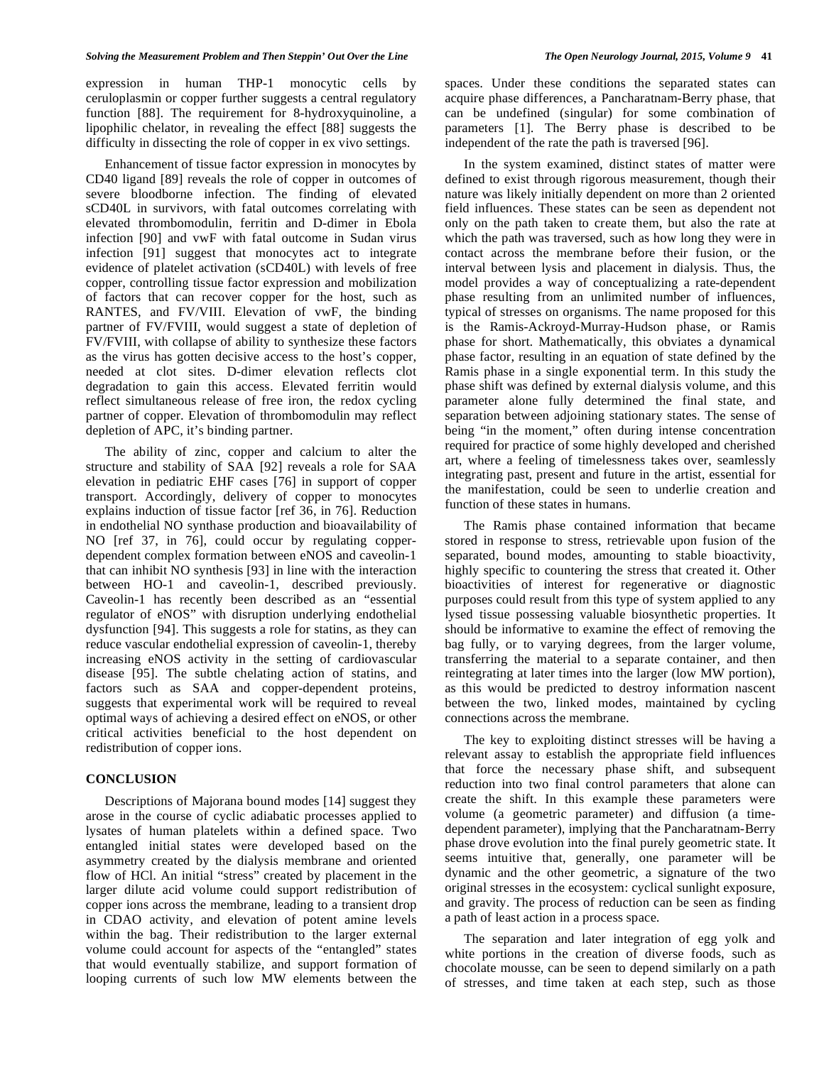expression in human THP-1 monocytic cells by ceruloplasmin or copper further suggests a central regulatory function [88]. The requirement for 8-hydroxyquinoline, a lipophilic chelator, in revealing the effect [88] suggests the difficulty in dissecting the role of copper in ex vivo settings.

 Enhancement of tissue factor expression in monocytes by CD40 ligand [89] reveals the role of copper in outcomes of severe bloodborne infection. The finding of elevated sCD40L in survivors, with fatal outcomes correlating with elevated thrombomodulin, ferritin and D-dimer in Ebola infection [90] and vwF with fatal outcome in Sudan virus infection [91] suggest that monocytes act to integrate evidence of platelet activation (sCD40L) with levels of free copper, controlling tissue factor expression and mobilization of factors that can recover copper for the host, such as RANTES, and FV/VIII. Elevation of vwF, the binding partner of FV/FVIII, would suggest a state of depletion of FV/FVIII, with collapse of ability to synthesize these factors as the virus has gotten decisive access to the host's copper, needed at clot sites. D-dimer elevation reflects clot degradation to gain this access. Elevated ferritin would reflect simultaneous release of free iron, the redox cycling partner of copper. Elevation of thrombomodulin may reflect depletion of APC, it's binding partner.

 The ability of zinc, copper and calcium to alter the structure and stability of SAA [92] reveals a role for SAA elevation in pediatric EHF cases [76] in support of copper transport. Accordingly, delivery of copper to monocytes explains induction of tissue factor [ref 36, in 76]. Reduction in endothelial NO synthase production and bioavailability of NO [ref 37, in 76], could occur by regulating copperdependent complex formation between eNOS and caveolin-1 that can inhibit NO synthesis [93] in line with the interaction between HO-1 and caveolin-1, described previously. Caveolin-1 has recently been described as an "essential regulator of eNOS" with disruption underlying endothelial dysfunction [94]. This suggests a role for statins, as they can reduce vascular endothelial expression of caveolin-1, thereby increasing eNOS activity in the setting of cardiovascular disease [95]. The subtle chelating action of statins, and factors such as SAA and copper-dependent proteins, suggests that experimental work will be required to reveal optimal ways of achieving a desired effect on eNOS, or other critical activities beneficial to the host dependent on redistribution of copper ions.

#### **CONCLUSION**

 Descriptions of Majorana bound modes [14] suggest they arose in the course of cyclic adiabatic processes applied to lysates of human platelets within a defined space. Two entangled initial states were developed based on the asymmetry created by the dialysis membrane and oriented flow of HCl. An initial "stress" created by placement in the larger dilute acid volume could support redistribution of copper ions across the membrane, leading to a transient drop in CDAO activity, and elevation of potent amine levels within the bag. Their redistribution to the larger external volume could account for aspects of the "entangled" states that would eventually stabilize, and support formation of looping currents of such low MW elements between the

spaces. Under these conditions the separated states can acquire phase differences, a Pancharatnam-Berry phase, that can be undefined (singular) for some combination of parameters [1]. The Berry phase is described to be independent of the rate the path is traversed [96].

 In the system examined, distinct states of matter were defined to exist through rigorous measurement, though their nature was likely initially dependent on more than 2 oriented field influences. These states can be seen as dependent not only on the path taken to create them, but also the rate at which the path was traversed, such as how long they were in contact across the membrane before their fusion, or the interval between lysis and placement in dialysis. Thus, the model provides a way of conceptualizing a rate-dependent phase resulting from an unlimited number of influences, typical of stresses on organisms. The name proposed for this is the Ramis-Ackroyd-Murray-Hudson phase, or Ramis phase for short. Mathematically, this obviates a dynamical phase factor, resulting in an equation of state defined by the Ramis phase in a single exponential term. In this study the phase shift was defined by external dialysis volume, and this parameter alone fully determined the final state, and separation between adjoining stationary states. The sense of being "in the moment," often during intense concentration required for practice of some highly developed and cherished art, where a feeling of timelessness takes over, seamlessly integrating past, present and future in the artist, essential for the manifestation, could be seen to underlie creation and function of these states in humans.

 The Ramis phase contained information that became stored in response to stress, retrievable upon fusion of the separated, bound modes, amounting to stable bioactivity, highly specific to countering the stress that created it. Other bioactivities of interest for regenerative or diagnostic purposes could result from this type of system applied to any lysed tissue possessing valuable biosynthetic properties. It should be informative to examine the effect of removing the bag fully, or to varying degrees, from the larger volume, transferring the material to a separate container, and then reintegrating at later times into the larger (low MW portion), as this would be predicted to destroy information nascent between the two, linked modes, maintained by cycling connections across the membrane.

 The key to exploiting distinct stresses will be having a relevant assay to establish the appropriate field influences that force the necessary phase shift, and subsequent reduction into two final control parameters that alone can create the shift. In this example these parameters were volume (a geometric parameter) and diffusion (a timedependent parameter), implying that the Pancharatnam-Berry phase drove evolution into the final purely geometric state. It seems intuitive that, generally, one parameter will be dynamic and the other geometric, a signature of the two original stresses in the ecosystem: cyclical sunlight exposure, and gravity. The process of reduction can be seen as finding a path of least action in a process space.

 The separation and later integration of egg yolk and white portions in the creation of diverse foods, such as chocolate mousse, can be seen to depend similarly on a path of stresses, and time taken at each step, such as those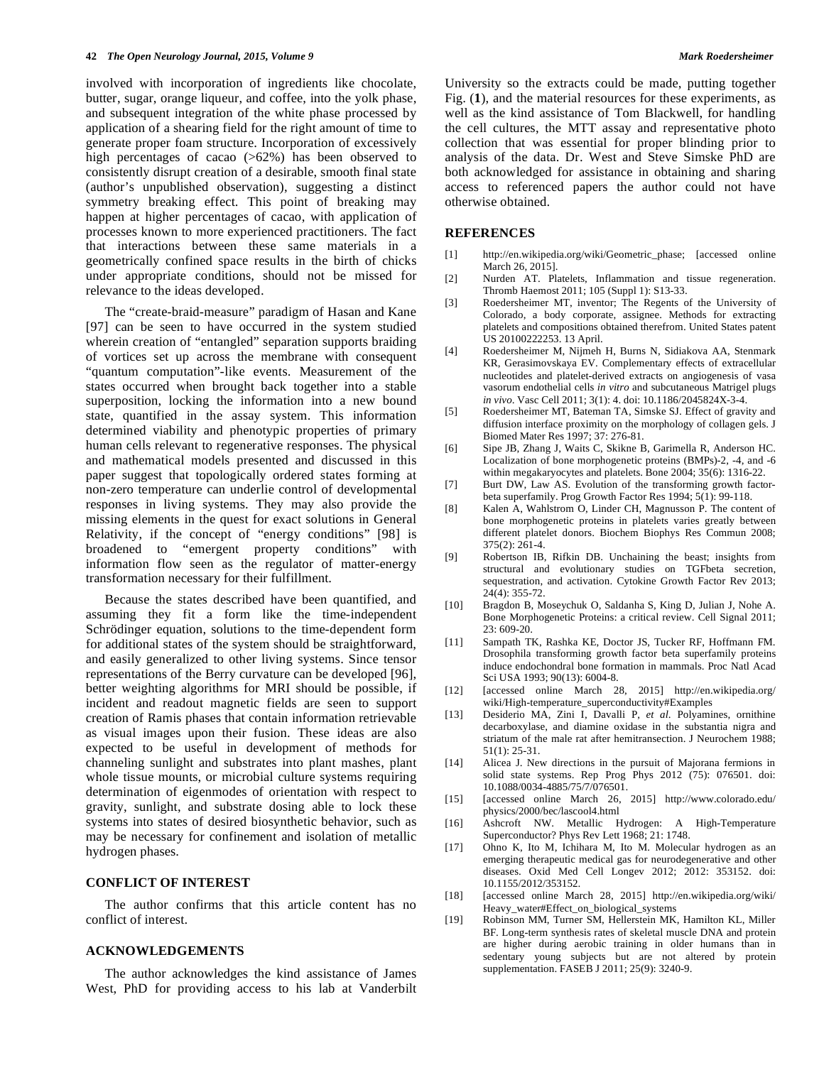involved with incorporation of ingredients like chocolate, butter, sugar, orange liqueur, and coffee, into the yolk phase, and subsequent integration of the white phase processed by application of a shearing field for the right amount of time to generate proper foam structure. Incorporation of excessively high percentages of cacao (>62%) has been observed to consistently disrupt creation of a desirable, smooth final state (author's unpublished observation), suggesting a distinct symmetry breaking effect. This point of breaking may happen at higher percentages of cacao, with application of processes known to more experienced practitioners. The fact that interactions between these same materials in a geometrically confined space results in the birth of chicks under appropriate conditions, should not be missed for relevance to the ideas developed.

 The "create-braid-measure" paradigm of Hasan and Kane [97] can be seen to have occurred in the system studied wherein creation of "entangled" separation supports braiding of vortices set up across the membrane with consequent "quantum computation"-like events. Measurement of the states occurred when brought back together into a stable superposition, locking the information into a new bound state, quantified in the assay system. This information determined viability and phenotypic properties of primary human cells relevant to regenerative responses. The physical and mathematical models presented and discussed in this paper suggest that topologically ordered states forming at non-zero temperature can underlie control of developmental responses in living systems. They may also provide the missing elements in the quest for exact solutions in General Relativity, if the concept of "energy conditions" [98] is broadened to "emergent property conditions" with information flow seen as the regulator of matter-energy transformation necessary for their fulfillment.

 Because the states described have been quantified, and assuming they fit a form like the time-independent Schrödinger equation, solutions to the time-dependent form for additional states of the system should be straightforward, and easily generalized to other living systems. Since tensor representations of the Berry curvature can be developed [96], better weighting algorithms for MRI should be possible, if incident and readout magnetic fields are seen to support creation of Ramis phases that contain information retrievable as visual images upon their fusion. These ideas are also expected to be useful in development of methods for channeling sunlight and substrates into plant mashes, plant whole tissue mounts, or microbial culture systems requiring determination of eigenmodes of orientation with respect to gravity, sunlight, and substrate dosing able to lock these systems into states of desired biosynthetic behavior, such as may be necessary for confinement and isolation of metallic hydrogen phases.

### **CONFLICT OF INTEREST**

 The author confirms that this article content has no conflict of interest.

#### **ACKNOWLEDGEMENTS**

 The author acknowledges the kind assistance of James West, PhD for providing access to his lab at Vanderbilt University so the extracts could be made, putting together Fig. (**1**), and the material resources for these experiments, as well as the kind assistance of Tom Blackwell, for handling the cell cultures, the MTT assay and representative photo collection that was essential for proper blinding prior to analysis of the data. Dr. West and Steve Simske PhD are both acknowledged for assistance in obtaining and sharing access to referenced papers the author could not have otherwise obtained.

#### **REFERENCES**

- [1] http://en.wikipedia.org/wiki/Geometric\_phase; [accessed online March 26, 2015].
- [2] Nurden AT. Platelets, Inflammation and tissue regeneration. Thromb Haemost 2011; 105 (Suppl 1): S13-33.
- [3] Roedersheimer MT, inventor; The Regents of the University of Colorado, a body corporate, assignee. Methods for extracting platelets and compositions obtained therefrom. United States patent US 20100222253. 13 April.
- [4] Roedersheimer M, Nijmeh H, Burns N, Sidiakova AA, Stenmark KR, Gerasimovskaya EV. Complementary effects of extracellular nucleotides and platelet-derived extracts on angiogenesis of vasa vasorum endothelial cells *in vitro* and subcutaneous Matrigel plugs *in vivo*. Vasc Cell 2011; 3(1): 4. doi: 10.1186/2045824X-3-4.
- [5] Roedersheimer MT, Bateman TA, Simske SJ. Effect of gravity and diffusion interface proximity on the morphology of collagen gels. J Biomed Mater Res 1997; 37: 276-81.
- [6] Sipe JB, Zhang J, Waits C, Skikne B, Garimella R, Anderson HC. Localization of bone morphogenetic proteins (BMPs)-2, -4, and -6 within megakaryocytes and platelets. Bone 2004; 35(6): 1316-22.
- [7] Burt DW, Law AS. Evolution of the transforming growth factorbeta superfamily. Prog Growth Factor Res 1994; 5(1): 99-118.
- [8] Kalen A, Wahlstrom O, Linder CH, Magnusson P. The content of bone morphogenetic proteins in platelets varies greatly between different platelet donors. Biochem Biophys Res Commun 2008; 375(2): 261-4.
- [9] Robertson IB, Rifkin DB. Unchaining the beast; insights from structural and evolutionary studies on TGFbeta secretion, sequestration, and activation. Cytokine Growth Factor Rev 2013; 24(4): 355-72.
- [10] Bragdon B, Moseychuk O, Saldanha S, King D, Julian J, Nohe A. Bone Morphogenetic Proteins: a critical review. Cell Signal 2011;  $23:609-20.$
- [11] Sampath TK, Rashka KE, Doctor JS, Tucker RF, Hoffmann FM. Drosophila transforming growth factor beta superfamily proteins induce endochondral bone formation in mammals. Proc Natl Acad Sci USA 1993; 90(13): 6004-8.
- [12] [accessed online March 28, 2015] http://en.wikipedia.org/ wiki/High-temperature\_superconductivity#Examples
- [13] Desiderio MA, Zini I, Davalli P, *et al*. Polyamines, ornithine decarboxylase, and diamine oxidase in the substantia nigra and striatum of the male rat after hemitransection. J Neurochem 1988; 51(1): 25-31.
- [14] Alicea J. New directions in the pursuit of Majorana fermions in solid state systems. Rep Prog Phys 2012 (75): 076501. doi: 10.1088/0034-4885/75/7/076501.
- [15] [accessed online March 26, 2015] http://www.colorado.edu/ physics/2000/bec/lascool4.html
- [16] Ashcroft NW. Metallic Hydrogen: A High-Temperature Superconductor? Phys Rev Lett 1968; 21: 1748.
- [17] Ohno K, Ito M, Ichihara M, Ito M. Molecular hydrogen as an emerging therapeutic medical gas for neurodegenerative and other diseases. Oxid Med Cell Longev 2012; 2012: 353152. doi: 10.1155/2012/353152.
- [18] [accessed online March 28, 2015] http://en.wikipedia.org/wiki/ Heavy\_water#Effect\_on\_biological\_systems
- [19] Robinson MM, Turner SM, Hellerstein MK, Hamilton KL, Miller BF. Long-term synthesis rates of skeletal muscle DNA and protein are higher during aerobic training in older humans than in sedentary young subjects but are not altered by protein supplementation. FASEB J 2011; 25(9): 3240-9.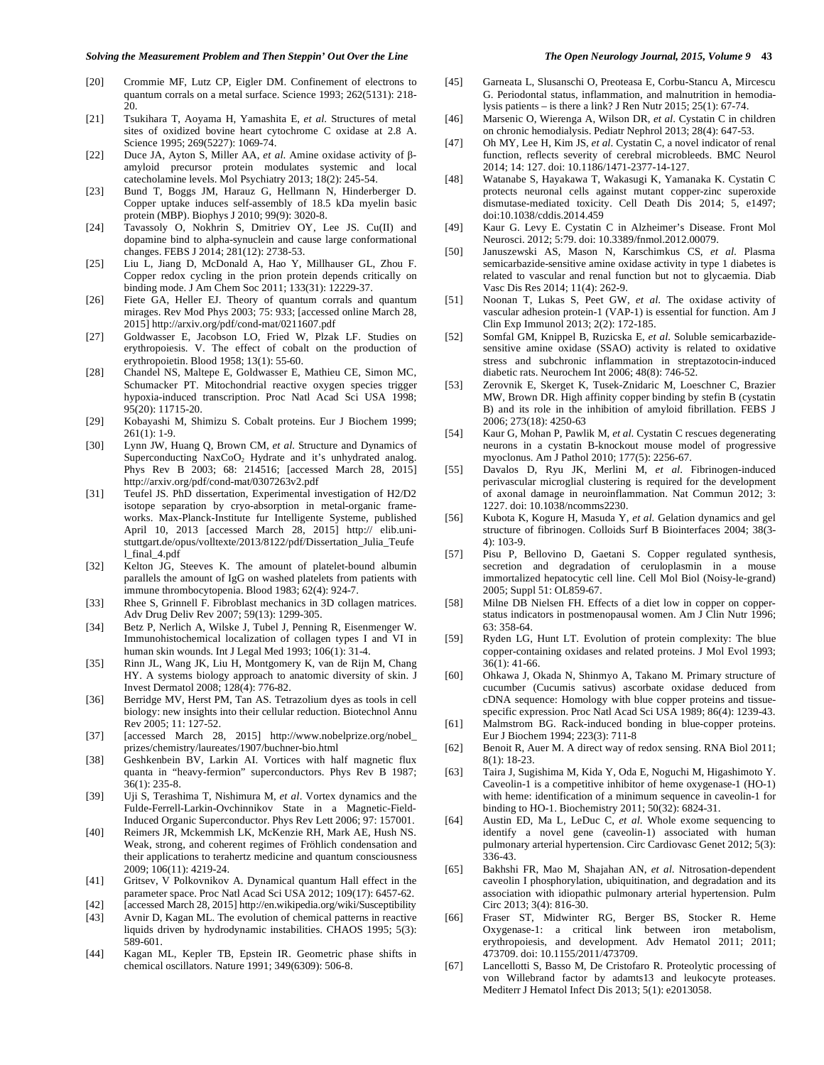- [20] Crommie MF, Lutz CP, Eigler DM. Confinement of electrons to quantum corrals on a metal surface. Science 1993; 262(5131): 218- 20.
- [21] Tsukihara T, Aoyama H, Yamashita E, *et al*. Structures of metal sites of oxidized bovine heart cytochrome C oxidase at 2.8 A. Science 1995; 269(5227): 1069-74.
- [22] Duce JA, Ayton S, Miller AA, *et al*. Amine oxidase activity of  $\beta$ amyloid precursor protein modulates systemic and local catecholamine levels. Mol Psychiatry 2013; 18(2): 245-54.
- [23] Bund T, Boggs JM, Harauz G, Hellmann N, Hinderberger D. Copper uptake induces self-assembly of 18.5 kDa myelin basic protein (MBP). Biophys J 2010; 99(9): 3020-8.
- [24] Tavassoly O, Nokhrin S, Dmitriev OY, Lee JS. Cu(II) and dopamine bind to alpha-synuclein and cause large conformational changes. FEBS J 2014; 281(12): 2738-53.
- [25] Liu L, Jiang D, McDonald A, Hao Y, Millhauser GL, Zhou F. Copper redox cycling in the prion protein depends critically on binding mode. J Am Chem Soc 2011; 133(31): 12229-37.
- [26] Fiete GA, Heller EJ. Theory of quantum corrals and quantum mirages. Rev Mod Phys 2003; 75: 933; [accessed online March 28, 2015] http://arxiv.org/pdf/cond-mat/0211607.pdf
- [27] Goldwasser E, Jacobson LO, Fried W, Plzak LF. Studies on erythropoiesis. V. The effect of cobalt on the production of erythropoietin. Blood 1958; 13(1): 55-60.
- [28] Chandel NS, Maltepe E, Goldwasser E, Mathieu CE, Simon MC, Schumacker PT. Mitochondrial reactive oxygen species trigger hypoxia-induced transcription. Proc Natl Acad Sci USA 1998; 95(20): 11715-20.
- [29] Kobayashi M, Shimizu S. Cobalt proteins. Eur J Biochem 1999;  $261(1): 1-9.$
- [30] Lynn JW, Huang Q, Brown CM, *et al*. Structure and Dynamics of Superconducting NaxCoO<sub>2</sub> Hydrate and it's unhydrated analog. Phys Rev B 2003; 68: 214516; [accessed March 28, 2015] http://arxiv.org/pdf/cond-mat/0307263v2.pdf
- [31] Teufel JS. PhD dissertation, Experimental investigation of H2/D2 isotope separation by cryo-absorption in metal-organic frameworks. Max-Planck-Institute fur Intelligente Systeme, published April 10, 2013 [accessed March 28, 2015] http:// elib.unistuttgart.de/opus/volltexte/2013/8122/pdf/Dissertation\_Julia\_Teufe l\_final\_4.pdf
- [32] Kelton JG, Steeves K. The amount of platelet-bound albumin parallels the amount of IgG on washed platelets from patients with immune thrombocytopenia. Blood 1983; 62(4): 924-7.
- [33] Rhee S, Grinnell F. Fibroblast mechanics in 3D collagen matrices. Adv Drug Deliv Rev 2007; 59(13): 1299-305.
- [34] Betz P, Nerlich A, Wilske J, Tubel J, Penning R, Eisenmenger W. Immunohistochemical localization of collagen types I and VI in human skin wounds. Int J Legal Med 1993; 106(1): 31-4.
- [35] Rinn JL, Wang JK, Liu H, Montgomery K, van de Rijn M, Chang HY. A systems biology approach to anatomic diversity of skin. J Invest Dermatol 2008; 128(4): 776-82.
- [36] Berridge MV, Herst PM, Tan AS. Tetrazolium dyes as tools in cell biology: new insights into their cellular reduction. Biotechnol Annu Rev 2005; 11: 127-52.
- [37] [accessed March 28, 2015] http://www.nobelprize.org/nobel\_ prizes/chemistry/laureates/1907/buchner-bio.html
- [38] Geshkenbein BV, Larkin AI. Vortices with half magnetic flux quanta in "heavy-fermion" superconductors. Phys Rev B 1987; 36(1): 235-8.
- [39] Uji S, Terashima T, Nishimura M, *et al*. Vortex dynamics and the Fulde-Ferrell-Larkin-Ovchinnikov State in a Magnetic-Field-Induced Organic Superconductor. Phys Rev Lett 2006; 97: 157001.
- [40] Reimers JR, Mckemmish LK, McKenzie RH, Mark AE, Hush NS. Weak, strong, and coherent regimes of Fröhlich condensation and their applications to terahertz medicine and quantum consciousness 2009; 106(11): 4219-24.
- [41] Gritsev, V Polkovnikov A. Dynamical quantum Hall effect in the parameter space. Proc Natl Acad Sci USA 2012; 109(17): 6457-62.
- [42] [accessed March 28, 2015] http://en.wikipedia.org/wiki/Susceptibility [43] Avnir D, Kagan ML. The evolution of chemical patterns in reactive liquids driven by hydrodynamic instabilities. CHAOS 1995; 5(3): 589-601.
- [44] Kagan ML, Kepler TB, Epstein IR. Geometric phase shifts in chemical oscillators. Nature 1991; 349(6309): 506-8.
- [45] Garneata L, Slusanschi O, Preoteasa E, Corbu-Stancu A, Mircescu G. Periodontal status, inflammation, and malnutrition in hemodialysis patients – is there a link? J Ren Nutr 2015; 25(1): 67-74.
- [46] Marsenic O, Wierenga A, Wilson DR, *et al*. Cystatin C in children on chronic hemodialysis. Pediatr Nephrol 2013; 28(4): 647-53.
- [47] Oh MY, Lee H, Kim JS, *et al*. Cystatin C, a novel indicator of renal function, reflects severity of cerebral microbleeds. BMC Neurol 2014; 14: 127. doi: 10.1186/1471-2377-14-127.
- [48] Watanabe S, Hayakawa T, Wakasugi K, Yamanaka K. Cystatin C protects neuronal cells against mutant copper-zinc superoxide dismutase-mediated toxicity. Cell Death Dis 2014; 5, e1497; doi:10.1038/cddis.2014.459
- [49] Kaur G. Levy E. Cystatin C in Alzheimer's Disease. Front Mol Neurosci. 2012; 5:79. doi: 10.3389/fnmol.2012.00079.
- [50] Januszewski AS, Mason N, Karschimkus CS, *et al*. Plasma semicarbazide-sensitive amine oxidase activity in type 1 diabetes is related to vascular and renal function but not to glycaemia. Diab Vasc Dis Res 2014; 11(4): 262-9.
- [51] Noonan T, Lukas S, Peet GW, *et al*. The oxidase activity of vascular adhesion protein-1 (VAP-1) is essential for function. Am J Clin Exp Immunol 2013; 2(2): 172-185.
- [52] Somfal GM, Knippel B, Ruzicska E, *et al*. Soluble semicarbazidesensitive amine oxidase (SSAO) activity is related to oxidative stress and subchronic inflammation in streptazotocin-induced diabetic rats. Neurochem Int 2006; 48(8): 746-52.
- [53] Zerovnik E, Skerget K, Tusek-Znidaric M, Loeschner C, Brazier MW, Brown DR. High affinity copper binding by stefin B (cystatin B) and its role in the inhibition of amyloid fibrillation. FEBS J 2006; 273(18): 4250-63
- [54] Kaur G, Mohan P, Pawlik M, *et al*. Cystatin C rescues degenerating neurons in a cystatin B-knockout mouse model of progressive myoclonus. Am J Pathol 2010; 177(5): 2256-67.
- [55] Davalos D, Ryu JK, Merlini M, *et al*. Fibrinogen-induced perivascular microglial clustering is required for the development of axonal damage in neuroinflammation. Nat Commun 2012; 3: 1227. doi: 10.1038/ncomms2230.
- [56] Kubota K, Kogure H, Masuda Y, *et al*. Gelation dynamics and gel structure of fibrinogen. Colloids Surf B Biointerfaces 2004; 38(3- 4): 103-9.
- [57] Pisu P, Bellovino D, Gaetani S. Copper regulated synthesis, secretion and degradation of ceruloplasmin in a mouse immortalized hepatocytic cell line. Cell Mol Biol (Noisy-le-grand) 2005; Suppl 51: OL859-67.
- [58] Milne DB Nielsen FH. Effects of a diet low in copper on copperstatus indicators in postmenopausal women. Am J Clin Nutr 1996; 63: 358-64.
- [59] Ryden LG, Hunt LT. Evolution of protein complexity: The blue copper-containing oxidases and related proteins. J Mol Evol 1993; 36(1): 41-66.
- [60] Ohkawa J, Okada N, Shinmyo A, Takano M. Primary structure of cucumber (Cucumis sativus) ascorbate oxidase deduced from cDNA sequence: Homology with blue copper proteins and tissuespecific expression. Proc Natl Acad Sci USA 1989; 86(4): 1239-43.
- [61] Malmstrom BG. Rack-induced bonding in blue-copper proteins. Eur J Biochem 1994; 223(3): 711-8
- [62] Benoit R, Auer M. A direct way of redox sensing. RNA Biol 2011; 8(1): 18-23.
- [63] Taira J, Sugishima M, Kida Y, Oda E, Noguchi M, Higashimoto Y. Caveolin-1 is a competitive inhibitor of heme oxygenase-1 (HO-1) with heme: identification of a minimum sequence in caveolin-1 for binding to HO-1. Biochemistry 2011; 50(32): 6824-31.
- [64] Austin ED, Ma L, LeDuc C, *et al*. Whole exome sequencing to identify a novel gene (caveolin-1) associated with human pulmonary arterial hypertension. Circ Cardiovasc Genet 2012; 5(3): 336-43.
- [65] Bakhshi FR, Mao M, Shajahan AN, *et al*. Nitrosation-dependent caveolin I phosphorylation, ubiquitination, and degradation and its association with idiopathic pulmonary arterial hypertension. Pulm Circ 2013; 3(4): 816-30.
- [66] Fraser ST, Midwinter RG, Berger BS, Stocker R. Heme Oxygenase-1: a critical link between iron metabolism, erythropoiesis, and development. Adv Hematol 2011; 2011; 473709. doi: 10.1155/2011/473709.
- [67] Lancellotti S, Basso M, De Cristofaro R. Proteolytic processing of von Willebrand factor by adamts13 and leukocyte proteases. Mediterr J Hematol Infect Dis 2013; 5(1): e2013058.